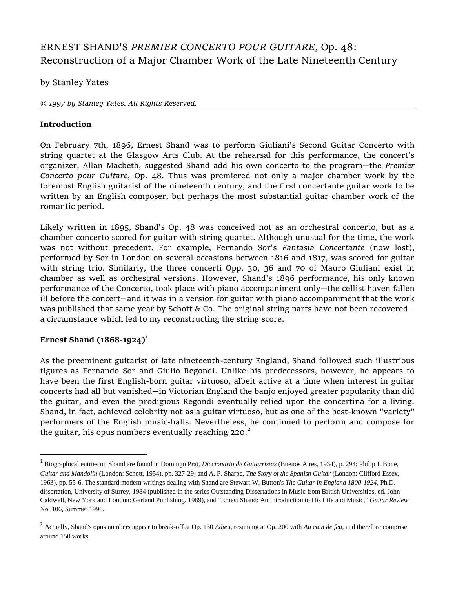# ERNEST SHAND'S *PREMIER CONCERTO POUR GUITARE*, Op. 48: Reconstruction of a Major Chamber Work of the Late Nineteenth Century

## by Stanley Yates

#### *© 1997 by Stanley Yates. All Rights Reserved.*

### **Introduction**

On February 7th, 1896, Ernest Shand was to perform Giuliani's Second Guitar Concerto with string quartet at the Glasgow Arts Club. At the rehearsal for this performance, the concert's organizer, Allan Macbeth, suggested Shand add his own concerto to the program—the *Premier Concerto pour Guitare*, Op. 48. Thus was premiered not only a major chamber work by the foremost English guitarist of the nineteenth century, and the first concertante guitar work to be written by an English composer, but perhaps the most substantial guitar chamber work of the romantic period.

Likely written in 1895, Shand's Op. 48 was conceived not as an orchestral concerto, but as a chamber concerto scored for guitar with string quartet. Although unusual for the time, the work was not without precedent. For example, Fernando Sor's *Fantasia Concertante* (now lost), performed by Sor in London on several occasions between 1816 and 1817, was scored for guitar with string trio. Similarly, the three concerti Opp. 30, 36 and 70 of Mauro Giuliani exist in chamber as well as orchestral versions. However, Shand's 1896 performance, his only known performance of the Concerto, took place with piano accompaniment only—the cellist haven fallen ill before the concert—and it was in a version for guitar with piano accompaniment that the work was published that same year by Schott & Co. The original string parts have not been recovered a circumstance which led to my reconstructing the string score.

## **Ernest Shand (1868-1924)**<sup>1</sup>

 $\overline{\phantom{a}}$ 

As the preeminent guitarist of late nineteenth-century England, Shand followed such illustrious figures as Fernando Sor and Giulio Regondi. Unlike his predecessors, however, he appears to have been the first English-born guitar virtuoso, albeit active at a time when interest in guitar concerts had all but vanished—in Victorian England the banjo enjoyed greater popularity than did the guitar, and even the prodigious Regondi eventually relied upon the concertina for a living. Shand, in fact, achieved celebrity not as a guitar virtuoso, but as one of the best-known "variety" performers of the English music-halls. Nevertheless, he continued to perform and compose for the guitar, his opus numbers eventually reaching  $220.<sup>2</sup>$ 

<sup>1</sup> Biographical entries on Shand are found in Domingo Prat, *Diccionario de Guitarristas* (Buenos Aires, 1934), p. 294; Philip J. Bone, *Guitar and Mandolin* (London: Schott, 1954), pp. 327-29; and A. P. Sharpe, *The Story of the Spanish Guitar* (London: Clifford Essex, 1963), pp. 55-6. The standard modern writings dealing with Shand are Stewart W. Button's *The Guitar in England 1800-1924*, Ph.D. dissertation, University of Surrey, 1984 (published in the series Outstanding Dissertations in Music from British Universities, ed. John Caldwell, New York and London: Garland Publishing, 1989), and "Ernest Shand: An Introduction to His Life and Music," *Guitar Review* No. 106, Summer 1996.

<sup>2</sup> Actually, Shand's opus numbers appear to break-off at Op. 130 *Adieu*, resuming at Op. 200 with *Au coin de feu*, and therefore comprise around 150 works.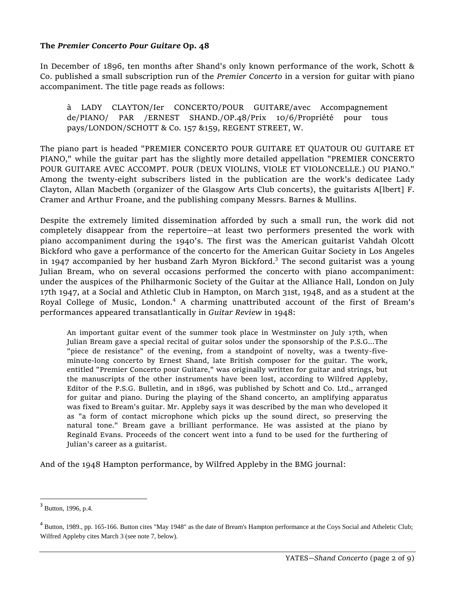### **The** *Premier Concerto Pour Guitare* **Op. 48**

In December of 1896, ten months after Shand's only known performance of the work, Schott & Co. published a small subscription run of the *Premier Concerto* in a version for guitar with piano accompaniment. The title page reads as follows:

à LADY CLAYTON/Ier CONCERTO/POUR GUITARE/avec Accompagnement de/PIANO/ PAR /ERNEST SHAND./OP.48/Prix 10/6/Propriété pour tous pays/LONDON/SCHOTT & Co. 157 &159, REGENT STREET, W.

The piano part is headed "PREMIER CONCERTO POUR GUITARE ET QUATOUR OU GUITARE ET PIANO," while the guitar part has the slightly more detailed appellation "PREMIER CONCERTO POUR GUITARE AVEC ACCOMPT. POUR (DEUX VIOLINS, VIOLE ET VIOLONCELLE.) OU PIANO." Among the twenty-eight subscribers listed in the publication are the work's dedicatee Lady Clayton, Allan Macbeth (organizer of the Glasgow Arts Club concerts), the guitarists A[lbert] F. Cramer and Arthur Froane, and the publishing company Messrs. Barnes & Mullins.

Despite the extremely limited dissemination afforded by such a small run, the work did not completely disappear from the repertoire—at least two performers presented the work with piano accompaniment during the 1940's. The first was the American guitarist Vahdah Olcott Bickford who gave a performance of the concerto for the American Guitar Society in Los Angeles in 1947 accompanied by her husband Zarh Myron Bickford.<sup>3</sup> The second guitarist was a young Julian Bream, who on several occasions performed the concerto with piano accompaniment: under the auspices of the Philharmonic Society of the Guitar at the Alliance Hall, London on July 17th 1947, at a Social and Athletic Club in Hampton, on March 31st, 1948, and as a student at the Royal College of Music, London.<sup>4</sup> A charming unattributed account of the first of Bream's performances appeared transatlantically in *Guitar Review* in 1948:

An important guitar event of the summer took place in Westminster on July 17th, when Julian Bream gave a special recital of guitar solos under the sponsorship of the P.S.G...The "piece de resistance" of the evening, from a standpoint of novelty, was a twenty-fiveminute-long concerto by Ernest Shand, late British composer for the guitar. The work, entitled "Premier Concerto pour Guitare," was originally written for guitar and strings, but the manuscripts of the other instruments have been lost, according to Wilfred Appleby, Editor of the P.S.G. Bulletin, and in 1896, was published by Schott and Co. Ltd., arranged for guitar and piano. During the playing of the Shand concerto, an amplifying apparatus was fixed to Bream's guitar. Mr. Appleby says it was described by the man who developed it as "a form of contact microphone which picks up the sound direct, so preserving the natural tone." Bream gave a brilliant performance. He was assisted at the piano by Reginald Evans. Proceeds of the concert went into a fund to be used for the furthering of Julian's career as a guitarist.

And of the 1948 Hampton performance, by Wilfred Appleby in the BMG journal:

 $\overline{\phantom{a}}$ 

 $3$  Button, 1996, p.4.

<sup>&</sup>lt;sup>4</sup> Button, 1989., pp. 165-166. Button cites "May 1948" as the date of Bream's Hampton performance at the Coys Social and Atheletic Club; Wilfred Appleby cites March 3 (see note 7, below).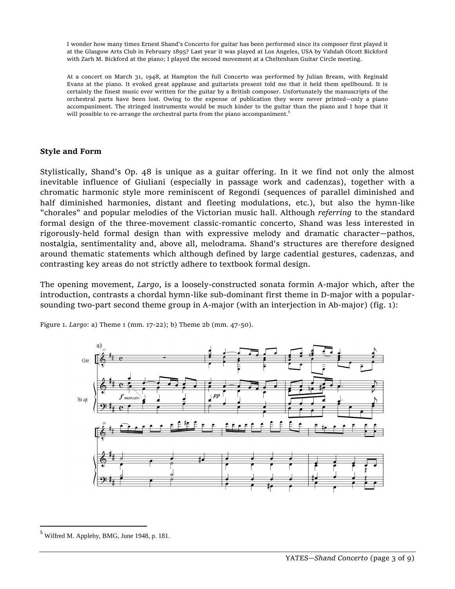I wonder how many times Ernest Shand's Concerto for guitar has been performed since its composer first played it at the Glasgow Arts Club in February 1895? Last year it was played at Los Angeles, USA by Vahdah Olcott Bickford with Zarh M. Bickford at the piano; I played the second movement at a Cheltenham Guitar Circle meeting.

At a concert on March 31, 1948, at Hampton the full Concerto was performed by Julian Bream, with Reginald Evans at the piano. It evoked great applause and guitarists present told me that it held them spellbound. It is certainly the finest music ever written for the guitar by a British composer. Unfortunately the manuscripts of the orchestral parts have been lost. Owing to the expense of publication they were never printed—only a piano accompaniment. The stringed instruments would be much kinder to the guitar than the piano and I hope that it will possible to re-arrange the orchestral parts from the piano accompaniment.<sup>5</sup>

### **Style and Form**

Stylistically, Shand's Op. 48 is unique as a guitar offering. In it we find not only the almost inevitable influence of Giuliani (especially in passage work and cadenzas), together with a chromatic harmonic style more reminiscent of Regondi (sequences of parallel diminished and half diminished harmonies, distant and fleeting modulations, etc.), but also the hymn-like "chorales" and popular melodies of the Victorian music hall. Although *referring* to the standard formal design of the three-movement classic-romantic concerto, Shand was less interested in rigorously-held formal design than with expressive melody and dramatic character—pathos, nostalgia, sentimentality and, above all, melodrama. Shand's structures are therefore designed around thematic statements which although defined by large cadential gestures, cadenzas, and contrasting key areas do not strictly adhere to textbook formal design.

The opening movement, *Largo*, is a loosely-constructed sonata formin A-major which, after the introduction, contrasts a chordal hymn-like sub-dominant first theme in D-major with a popularsounding two-part second theme group in A-major (with an interjection in Ab-major) (fig. 1):



Figure 1. *Largo*: a) Theme 1 (mm. 17-22); b) Theme 2b (mm. 47-50).

 $\overline{\phantom{a}}$ 

<sup>5</sup> Wilfred M. Appleby, BMG, June 1948, p. 181.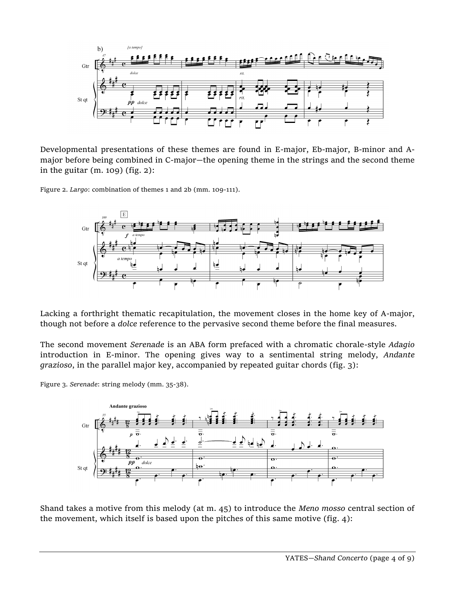

Developmental presentations of these themes are found in E-major, Eb-major, B-minor and Amajor before being combined in C-major—the opening theme in the strings and the second theme in the guitar (m. 109) (fig. 2):

Figure 2. *Largo*: combination of themes 1 and 2b (mm. 109-111).



Lacking a forthright thematic recapitulation, the movement closes in the home key of A-major, though not before a *dolce* reference to the pervasive second theme before the final measures.

The second movement *Serenade* is an ABA form prefaced with a chromatic chorale-style *Adagio* introduction in E-minor. The opening gives way to a sentimental string melody, *Andante grazioso*, in the parallel major key, accompanied by repeated guitar chords (fig. 3):

Figure 3. *Serenade*: string melody (mm. 35-38).



Shand takes a motive from this melody (at m. 45) to introduce the *Meno mosso* central section of the movement, which itself is based upon the pitches of this same motive (fig. 4):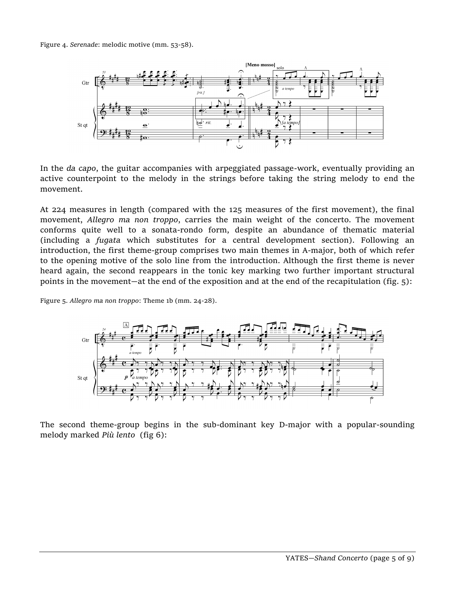Figure 4. *Serenade*: melodic motive (mm. 53-58).



In the *da capo*, the guitar accompanies with arpeggiated passage-work, eventually providing an active counterpoint to the melody in the strings before taking the string melody to end the movement.

At 224 measures in length (compared with the 125 measures of the first movement), the final movement, *Allegro ma non troppo*, carries the main weight of the concerto. The movement conforms quite well to a sonata-rondo form, despite an abundance of thematic material (including a *fugata* which substitutes for a central development section). Following an introduction, the first theme-group comprises two main themes in A-major, both of which refer to the opening motive of the solo line from the introduction. Although the first theme is never heard again, the second reappears in the tonic key marking two further important structural points in the movement—at the end of the exposition and at the end of the recapitulation (fig. 5):

Figure 5. *Allegro ma non troppo*: Theme 1b (mm. 24-28).



The second theme-group begins in the sub-dominant key D-major with a popular-sounding melody marked *Più lento* (fig 6):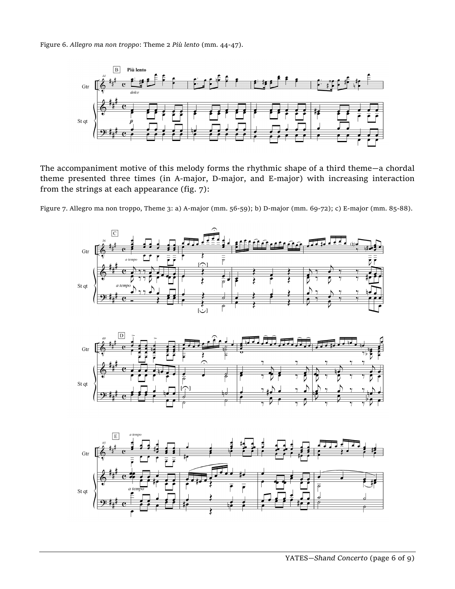Figure 6. *Allegro ma non troppo*: Theme 2 *Più lento* (mm. 44-47).



The accompaniment motive of this melody forms the rhythmic shape of a third theme—a chordal theme presented three times (in A-major, D-major, and E-major) with increasing interaction from the strings at each appearance (fig. 7):

Figure 7. Allegro ma non troppo, Theme 3: a) A-major (mm. 56-59); b) D-major (mm. 69-72); c) E-major (mm. 85-88).

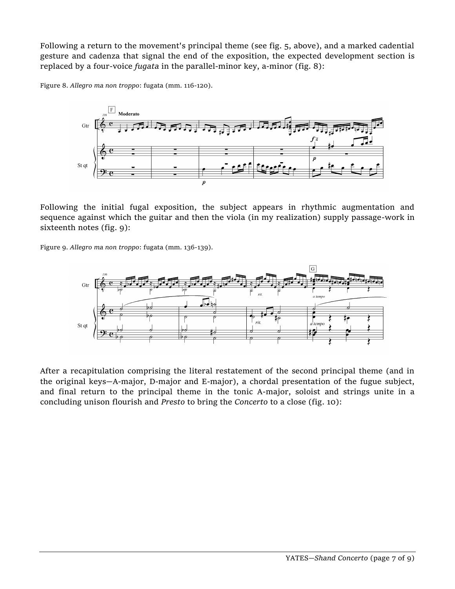Following a return to the movement's principal theme (see fig. 5, above), and a marked cadential gesture and cadenza that signal the end of the exposition, the expected development section is replaced by a four-voice *fugata* in the parallel-minor key, a-minor (fig. 8):

Figure 8. *Allegro ma non troppo*: fugata (mm. 116-120).



Following the initial fugal exposition, the subject appears in rhythmic augmentation and sequence against which the guitar and then the viola (in my realization) supply passage-work in sixteenth notes (fig. 9):

Figure 9. *Allegro ma non troppo*: fugata (mm. 136-139).



After a recapitulation comprising the literal restatement of the second principal theme (and in the original keys—A-major, D-major and E-major), a chordal presentation of the fugue subject, and final return to the principal theme in the tonic A-major, soloist and strings unite in a concluding unison flourish and *Presto* to bring the *Concerto* to a close (fig. 10):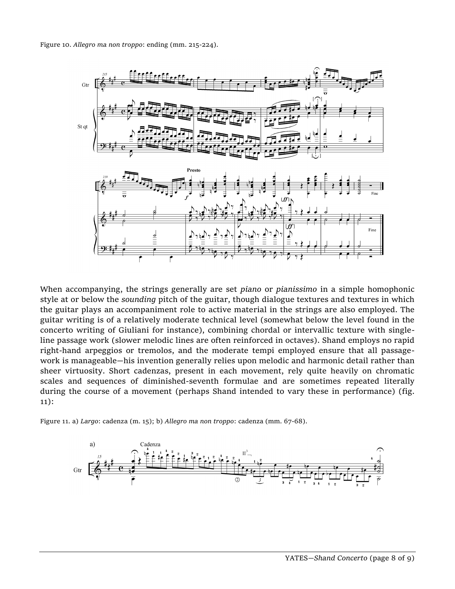Figure 10. *Allegro ma non troppo*: ending (mm. 215-224).



When accompanying, the strings generally are set *piano* or *pianissimo* in a simple homophonic style at or below the *sounding* pitch of the guitar, though dialogue textures and textures in which the guitar plays an accompaniment role to active material in the strings are also employed. The guitar writing is of a relatively moderate technical level (somewhat below the level found in the concerto writing of Giuliani for instance), combining chordal or intervallic texture with singleline passage work (slower melodic lines are often reinforced in octaves). Shand employs no rapid right-hand arpeggios or tremolos, and the moderate tempi employed ensure that all passagework is manageable—his invention generally relies upon melodic and harmonic detail rather than sheer virtuosity. Short cadenzas, present in each movement, rely quite heavily on chromatic scales and sequences of diminished-seventh formulae and are sometimes repeated literally during the course of a movement (perhaps Shand intended to vary these in performance) (fig. 11):

Figure 11. a) *Largo*: cadenza (m. 15); b) *Allegro ma non troppo*: cadenza (mm. 67-68).